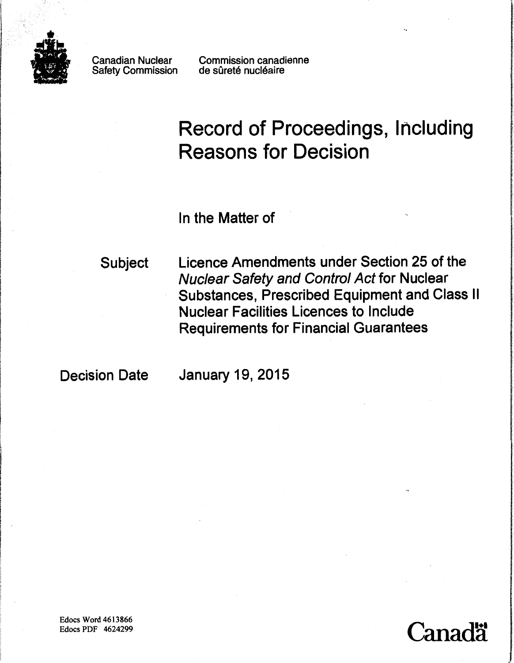

Safety Commission

Canadian Nuclear Commission canadienne<br>Safety Commission de sûreté nucléaire

# Record of Proceedings, Including Reasons for Decision

In the Matter of

Subject Licence Amendments under Section 25 of the Nuclear Safety and Control Act for Nuclear Substances, Prescribed Equipment and Class II Nuclear Facilities Licences to Include Requirements for Financial Guarantees

Decision Date January 19, 2015

Edocs Word 4613866 Edocs PDF 4624299

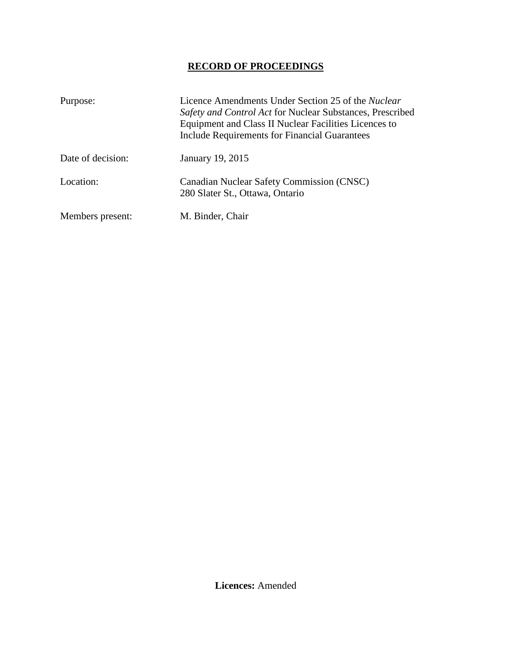# **RECORD OF PROCEEDINGS**

| Purpose:          | Licence Amendments Under Section 25 of the <i>Nuclear</i><br>Safety and Control Act for Nuclear Substances, Prescribed<br>Equipment and Class II Nuclear Facilities Licences to<br><b>Include Requirements for Financial Guarantees</b> |
|-------------------|-----------------------------------------------------------------------------------------------------------------------------------------------------------------------------------------------------------------------------------------|
| Date of decision: | January 19, 2015                                                                                                                                                                                                                        |
| Location:         | Canadian Nuclear Safety Commission (CNSC)<br>280 Slater St., Ottawa, Ontario                                                                                                                                                            |
| Members present:  | M. Binder, Chair                                                                                                                                                                                                                        |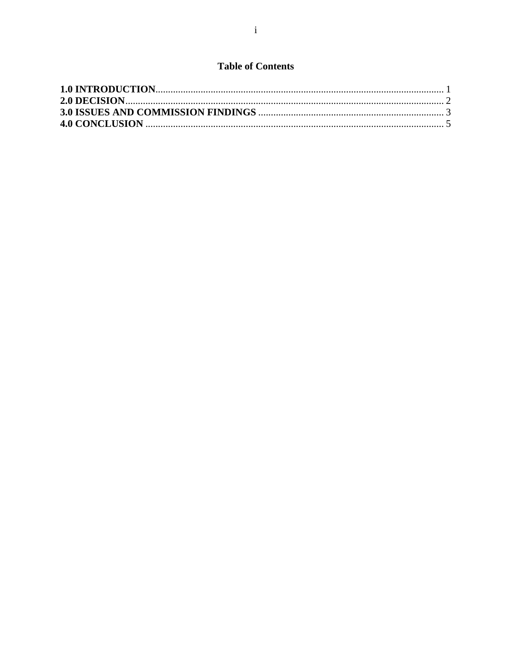# **Table of Contents**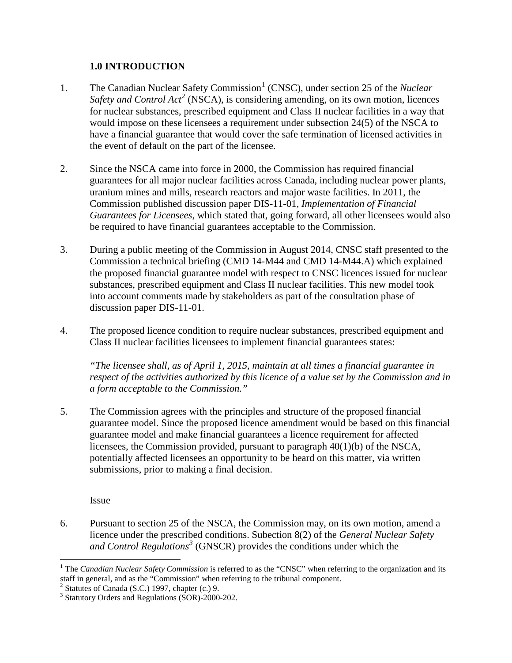### <span id="page-3-0"></span>**1.0 INTRODUCTION**

- [1](#page-3-1). The Canadian Nuclear Safety Commission<sup>1</sup> (CNSC), under section 25 of the *Nuclear Safety and Control Act<sup>[2](#page-3-2)</sup>* (NSCA), is considering amending, on its own motion, licences for nuclear substances, prescribed equipment and Class II nuclear facilities in a way that would impose on these licensees a requirement under subsection 24(5) of the NSCA to have a financial guarantee that would cover the safe termination of licensed activities in the event of default on the part of the licensee.
- 2. Since the NSCA came into force in 2000, the Commission has required financial guarantees for all major nuclear facilities across Canada, including nuclear power plants, uranium mines and mills, research reactors and major waste facilities. In 2011, the Commission published discussion paper DIS-11-01*, Implementation of Financial Guarantees for Licensees*, which stated that, going forward, all other licensees would also be required to have financial guarantees acceptable to the Commission.
- 3. During a public meeting of the Commission in August 2014, CNSC staff presented to the Commission a technical briefing (CMD 14-M44 and CMD 14-M44.A) which explained the proposed financial guarantee model with respect to CNSC licences issued for nuclear substances, prescribed equipment and Class II nuclear facilities. This new model took into account comments made by stakeholders as part of the consultation phase of discussion paper DIS-11-01.
- 4. The proposed licence condition to require nuclear substances, prescribed equipment and Class II nuclear facilities licensees to implement financial guarantees states:

*"The licensee shall, as of April 1, 2015, maintain at all times a financial guarantee in respect of the activities authorized by this licence of a value set by the Commission and in a form acceptable to the Commission."* 

5. The Commission agrees with the principles and structure of the proposed financial guarantee model. Since the proposed licence amendment would be based on this financial guarantee model and make financial guarantees a licence requirement for affected licensees, the Commission provided, pursuant to paragraph 40(1)(b) of the NSCA, potentially affected licensees an opportunity to be heard on this matter, via written submissions, prior to making a final decision.

**Issue** 

 $\overline{a}$ 

6. Pursuant to section 25 of the NSCA, the Commission may, on its own motion, amend a licence under the prescribed conditions. Subection 8(2) of the *General Nuclear Safety and Control Regulations[3](#page-3-3)* (GNSCR) provides the conditions under which the

<span id="page-3-1"></span><sup>&</sup>lt;sup>1</sup> The *Canadian Nuclear Safety Commission* is referred to as the "CNSC" when referring to the organization and its staff in general, and as the "Commission" when referring to the tribunal component.  $2$  Statutes of Canada (S.C.) 1997, chapter (c.) 9.

<span id="page-3-3"></span><span id="page-3-2"></span><sup>3</sup> Statutory Orders and Regulations (SOR)-2000-202.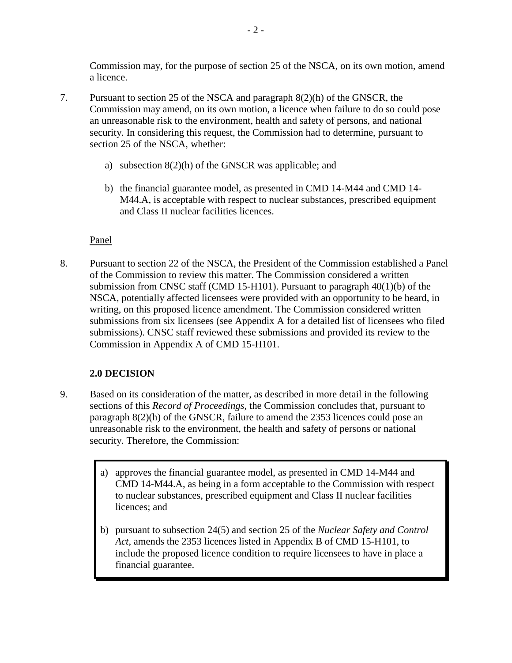Commission may, for the purpose of section 25 of the NSCA, on its own motion, amend a licence.

- 7. Pursuant to section 25 of the NSCA and paragraph 8(2)(h) of the GNSCR, the Commission may amend, on its own motion, a licence when failure to do so could pose an unreasonable risk to the environment, health and safety of persons, and national security. In considering this request, the Commission had to determine, pursuant to section 25 of the NSCA, whether:
	- a) subsection 8(2)(h) of the GNSCR was applicable; and
	- b) the financial guarantee model, as presented in CMD 14-M44 and CMD 14- M44.A, is acceptable with respect to nuclear substances, prescribed equipment and Class II nuclear facilities licences.

## Panel

8. Pursuant to section 22 of the NSCA, the President of the Commission established a Panel of the Commission to review this matter. The Commission considered a written submission from CNSC staff (CMD 15-H101). Pursuant to paragraph 40(1)(b) of the NSCA, potentially affected licensees were provided with an opportunity to be heard, in writing, on this proposed licence amendment. The Commission considered written submissions from six licensees (see Appendix A for a detailed list of licensees who filed submissions). CNSC staff reviewed these submissions and provided its review to the Commission in Appendix A of CMD 15-H101.

## <span id="page-4-0"></span>**2.0 DECISION**

- 9. Based on its consideration of the matter, as described in more detail in the following sections of this *Record of Proceedings*, the Commission concludes that, pursuant to paragraph 8(2)(h) of the GNSCR, failure to amend the 2353 licences could pose an unreasonable risk to the environment, the health and safety of persons or national security. Therefore, the Commission:
	- a) approves the financial guarantee model, as presented in CMD 14-M44 and CMD 14-M44.A, as being in a form acceptable to the Commission with respect to nuclear substances, prescribed equipment and Class II nuclear facilities licences; and
	- b) pursuant to subsection 24(5) and section 25 of the *Nuclear Safety and Control Act*, amends the 2353 licences listed in Appendix B of CMD 15-H101, to include the proposed licence condition to require licensees to have in place a financial guarantee.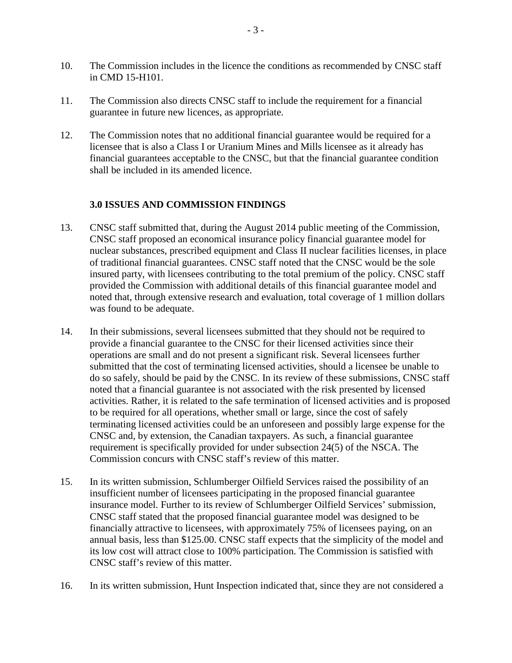- 10. The Commission includes in the licence the conditions as recommended by CNSC staff in CMD 15-H101.
- 11. The Commission also directs CNSC staff to include the requirement for a financial guarantee in future new licences, as appropriate.
- 12. The Commission notes that no additional financial guarantee would be required for a licensee that is also a Class I or Uranium Mines and Mills licensee as it already has financial guarantees acceptable to the CNSC, but that the financial guarantee condition shall be included in its amended licence.

## <span id="page-5-0"></span>**3.0 ISSUES AND COMMISSION FINDINGS**

- 13. CNSC staff submitted that, during the August 2014 public meeting of the Commission, CNSC staff proposed an economical insurance policy financial guarantee model for nuclear substances, prescribed equipment and Class II nuclear facilities licenses, in place of traditional financial guarantees. CNSC staff noted that the CNSC would be the sole insured party, with licensees contributing to the total premium of the policy. CNSC staff provided the Commission with additional details of this financial guarantee model and noted that, through extensive research and evaluation, total coverage of 1 million dollars was found to be adequate.
- 14. In their submissions, several licensees submitted that they should not be required to provide a financial guarantee to the CNSC for their licensed activities since their operations are small and do not present a significant risk. Several licensees further submitted that the cost of terminating licensed activities, should a licensee be unable to do so safely, should be paid by the CNSC. In its review of these submissions, CNSC staff noted that a financial guarantee is not associated with the risk presented by licensed activities. Rather, it is related to the safe termination of licensed activities and is proposed to be required for all operations, whether small or large, since the cost of safely terminating licensed activities could be an unforeseen and possibly large expense for the CNSC and, by extension, the Canadian taxpayers. As such, a financial guarantee requirement is specifically provided for under subsection 24(5) of the NSCA. The Commission concurs with CNSC staff's review of this matter.
- 15. In its written submission, Schlumberger Oilfield Services raised the possibility of an insufficient number of licensees participating in the proposed financial guarantee insurance model. Further to its review of Schlumberger Oilfield Services' submission, CNSC staff stated that the proposed financial guarantee model was designed to be financially attractive to licensees, with approximately 75% of licensees paying, on an annual basis, less than \$125.00. CNSC staff expects that the simplicity of the model and its low cost will attract close to 100% participation. The Commission is satisfied with CNSC staff's review of this matter.
- 16. In its written submission, Hunt Inspection indicated that, since they are not considered a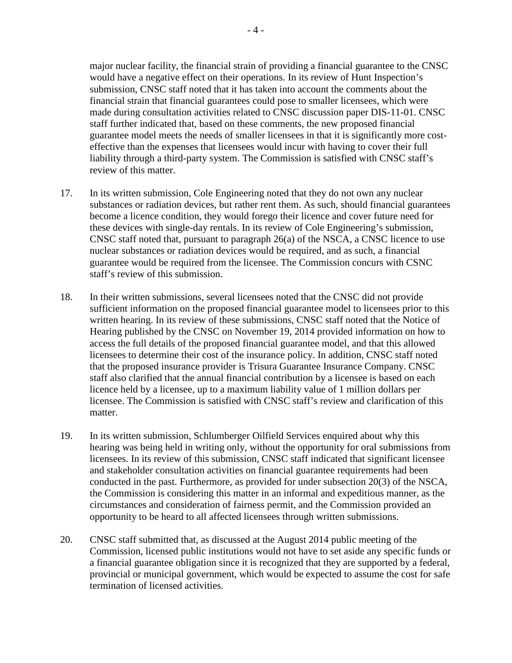major nuclear facility, the financial strain of providing a financial guarantee to the CNSC would have a negative effect on their operations. In its review of Hunt Inspection's submission, CNSC staff noted that it has taken into account the comments about the financial strain that financial guarantees could pose to smaller licensees, which were made during consultation activities related to CNSC discussion paper DIS-11-01. CNSC staff further indicated that, based on these comments, the new proposed financial guarantee model meets the needs of smaller licensees in that it is significantly more costeffective than the expenses that licensees would incur with having to cover their full liability through a third-party system. The Commission is satisfied with CNSC staff's review of this matter.

- 17. In its written submission, Cole Engineering noted that they do not own any nuclear substances or radiation devices, but rather rent them. As such, should financial guarantees become a licence condition, they would forego their licence and cover future need for these devices with single-day rentals. In its review of Cole Engineering's submission, CNSC staff noted that, pursuant to paragraph 26(a) of the NSCA, a CNSC licence to use nuclear substances or radiation devices would be required, and as such, a financial guarantee would be required from the licensee. The Commission concurs with CSNC staff's review of this submission.
- 18. In their written submissions, several licensees noted that the CNSC did not provide sufficient information on the proposed financial guarantee model to licensees prior to this written hearing. In its review of these submissions, CNSC staff noted that the Notice of Hearing published by the CNSC on November 19, 2014 provided information on how to access the full details of the proposed financial guarantee model, and that this allowed licensees to determine their cost of the insurance policy. In addition, CNSC staff noted that the proposed insurance provider is Trisura Guarantee Insurance Company. CNSC staff also clarified that the annual financial contribution by a licensee is based on each licence held by a licensee, up to a maximum liability value of 1 million dollars per licensee. The Commission is satisfied with CNSC staff's review and clarification of this matter.
- 19. In its written submission, Schlumberger Oilfield Services enquired about why this hearing was being held in writing only, without the opportunity for oral submissions from licensees. In its review of this submission, CNSC staff indicated that significant licensee and stakeholder consultation activities on financial guarantee requirements had been conducted in the past. Furthermore, as provided for under subsection 20(3) of the NSCA, the Commission is considering this matter in an informal and expeditious manner, as the circumstances and consideration of fairness permit, and the Commission provided an opportunity to be heard to all affected licensees through written submissions.
- 20. CNSC staff submitted that, as discussed at the August 2014 public meeting of the Commission, licensed public institutions would not have to set aside any specific funds or a financial guarantee obligation since it is recognized that they are supported by a federal, provincial or municipal government, which would be expected to assume the cost for safe termination of licensed activities.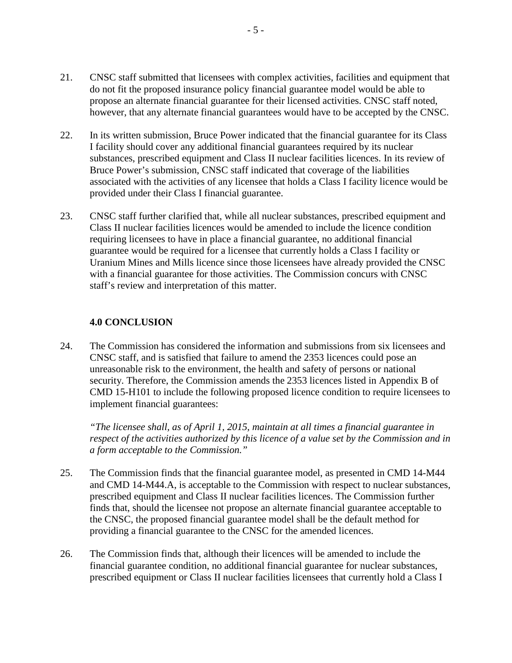- 21. CNSC staff submitted that licensees with complex activities, facilities and equipment that do not fit the proposed insurance policy financial guarantee model would be able to propose an alternate financial guarantee for their licensed activities. CNSC staff noted, however, that any alternate financial guarantees would have to be accepted by the CNSC.
- 22. In its written submission, Bruce Power indicated that the financial guarantee for its Class I facility should cover any additional financial guarantees required by its nuclear substances, prescribed equipment and Class II nuclear facilities licences. In its review of Bruce Power's submission, CNSC staff indicated that coverage of the liabilities associated with the activities of any licensee that holds a Class I facility licence would be provided under their Class I financial guarantee.
- 23. CNSC staff further clarified that, while all nuclear substances, prescribed equipment and Class II nuclear facilities licences would be amended to include the licence condition requiring licensees to have in place a financial guarantee, no additional financial guarantee would be required for a licensee that currently holds a Class I facility or Uranium Mines and Mills licence since those licensees have already provided the CNSC with a financial guarantee for those activities. The Commission concurs with CNSC staff's review and interpretation of this matter.

#### <span id="page-7-0"></span>**4.0 CONCLUSION**

24. The Commission has considered the information and submissions from six licensees and CNSC staff, and is satisfied that failure to amend the 2353 licences could pose an unreasonable risk to the environment, the health and safety of persons or national security. Therefore, the Commission amends the 2353 licences listed in Appendix B of CMD 15-H101 to include the following proposed licence condition to require licensees to implement financial guarantees:

*"The licensee shall, as of April 1, 2015, maintain at all times a financial guarantee in respect of the activities authorized by this licence of a value set by the Commission and in a form acceptable to the Commission."*

- 25. The Commission finds that the financial guarantee model, as presented in CMD 14-M44 and CMD 14-M44.A, is acceptable to the Commission with respect to nuclear substances, prescribed equipment and Class II nuclear facilities licences. The Commission further finds that, should the licensee not propose an alternate financial guarantee acceptable to the CNSC, the proposed financial guarantee model shall be the default method for providing a financial guarantee to the CNSC for the amended licences.
- 26. The Commission finds that, although their licences will be amended to include the financial guarantee condition, no additional financial guarantee for nuclear substances, prescribed equipment or Class II nuclear facilities licensees that currently hold a Class I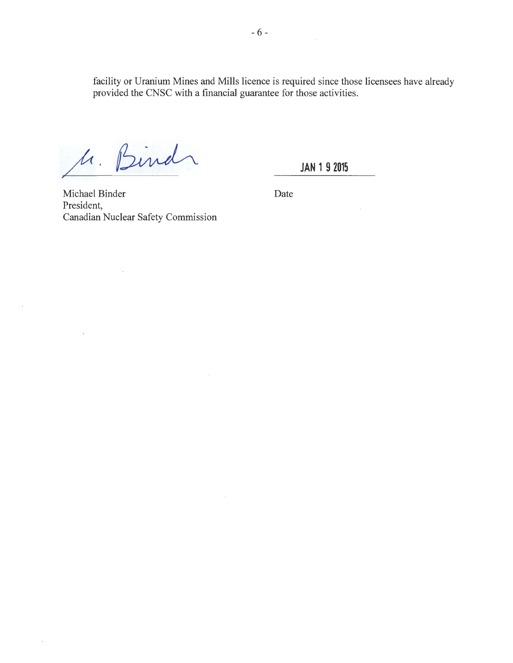facility or Uranium Mines and Mills licence is required since those licensees have already provided the CNSC with a financial guarantee for those activities.

M. Bind

 $\sim$ 

 $\bar{z}$ 

 $\cdot$ 

 $\ddot{\phantom{a}}$ 

**JAN 1 9 2015** 

Michael Binder Date President, Canadian Nuclear Safety Commission

 $\mathcal{A}$